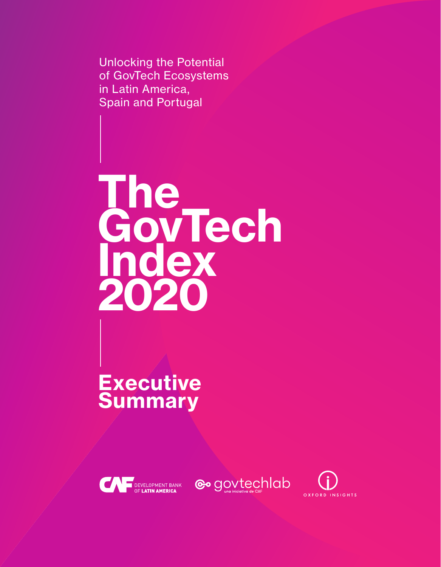Unlocking the Potential of GovTech Ecosystems in Latin America, Spain and Portugal

**The GovTech Index 2020**

**Executive Summary**





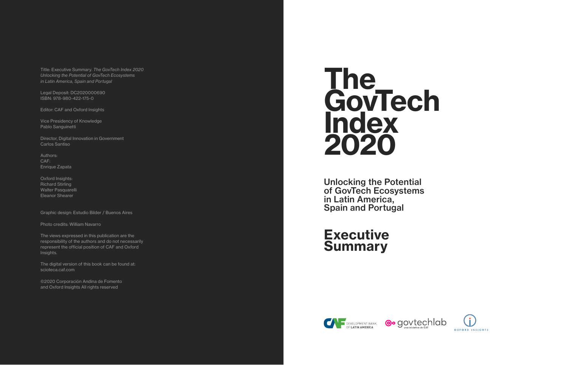# **The GovTech Index 2020**

Unlocking the Potential of GovTech Ecosystems in Latin America, Spain and Portugal

# **Executive Summary**







Title: Executive Summary. *The GovTech Index 2020 Unlocking the Potential of GovTech Ecosystems in Latin America, Spain and Portugal*

Legal Deposit: DC2020000690 ISBN: 978-980-422-175-0

Editor: CAF and Oxford Insights

Vice Presidency of Knowledge Pablo Sanguinetti

Director, Digital Innovation in Government Carlos Santiso

Authors: CAF: Enrique Zapata

Oxford Insights: Richard Stirling Walter Pasquarelli Eleanor Shearer

Graphic design: Estudio Bilder / Buenos Aires

Photo credits: William Navarro

The views expressed in this publication are the responsibility of the authors and do not necessarily represent the official position of CAF and Oxford Insights.

The digital version of this book can be found at: [scioteca.caf.com](http://scioteca.caf.com)

©2020 Corporación Andina de Fomento and Oxford Insights All rights reserved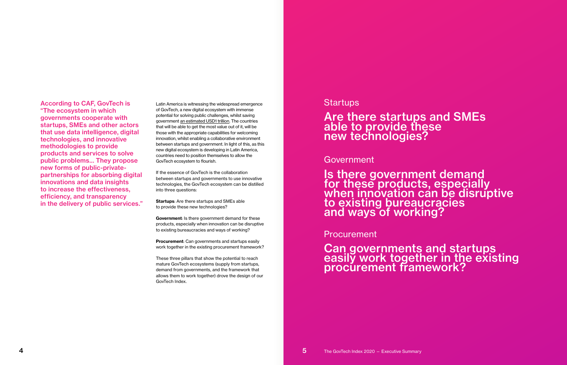According to CAF, GovTech is "The ecosystem in which governments cooperate with startups, SMEs and other actors that use data intelligence, digital technologies, and innovative methodologies to provide products and services to solve public problems… They propose new forms of public-privatepartnerships for absorbing digital innovations and data insights to increase the effectiveness, efficiency, and transparency in the delivery of public services."

Latin America is witnessing the widespread emergence of GovTech, a new digital ecosystem with immense potential for solving public challenges, whilst saving government [an estimated USD1 trillion.](https://www.govtech.com/budget-finance/Technology-Could-Save-Government-1-Trillion.html) The countries that will be able to get the most value out of it, will be those with the appropriate capabilities for welcoming innovation, whilst enabling a collaborative environment between startups and government. In light of this, as this new digital ecosystem is developing in Latin America, countries need to position themselves to allow the GovTech ecosystem to flourish.

> Is there government demand for these products, especially when innovation can be disruptive to existing bureaucracies and ways of working?

Can governments and startups easily work together in the existing procurement framework?

If the essence of GovTech is the collaboration between startups and governments to use innovative technologies, the GovTech ecosystem can be distilled into three questions:

**Startups**: Are there startups and SMEs able to provide these new technologies?

**Government**: Is there government demand for these products, especially when innovation can be disruptive to existing bureaucracies and ways of working?

**Procurement**: Can governments and startups easily work together in the existing procurement framework?

These three pillars that show the potential to reach mature GovTech ecosystems (supply from startups, demand from governments, and the framework that allows them to work together) drove the design of our GovTech Index.

### **Startups**

Are there startups and SMEs able to provide these new technologies?

Government

Procurement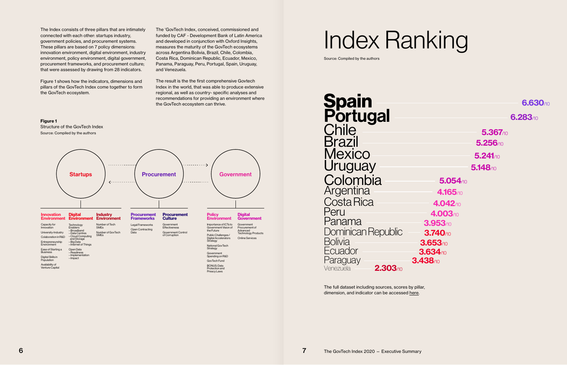The Index consists of three pillars that are intimately connected with each other: startups industry, government policies, and procurement systems. These pillars are based on 7 policy dimensions: innovation environment, digital environment, industry environment, policy environment, digital government, procurement frameworks, and procurement culture; that were assessed by drawing from 28 indicators.

Figure 1 shows how the indicators, dimensions and pillars of the GovTech Index come together to form the GovTech ecosystem.

The 'GovTech Index, conceived, commissioned and funded by CAF - Development Bank of Latin America and developed in conjunction with Oxford Insights, measures the maturity of the GovTech ecosystems across Argentina Bolivia, Brazil, Chile, Colombia, Costa Rica, Dominican Republic, Ecuador, Mexico, Panama, Paraguay, Peru, Portugal, Spain, Uruguay, and Venezuela.

The result is the the first comprehensive Govtech Index in the world, that was able to produce extensive regional, as well as country- specific analyses and recommendations for providing an environment where the GovTech ecosystem can thrive.

**Figure 1**

Structure of the GovTech Index Source: Compiled by the authors



# Index Ranking

Source: Compiled by the authors

**Spain** Portugal **Chile Brazil Mexico** Uruguay **Colombia Argentina** Costa Rica Peru Panama Dominican Republic **Bolivia Ecuador** Paraguay Venezuela **3.438**/10 **2.303**/10

## **6.630**/10

### **6.283**/10

**5.367**/10 **5.256**/10 **5.241**/10 **5.148**/10

**5.054**/10 **4.165**/10 **4.042**/10 **4.003**/10 **3.953**/10 **3.740**/10 **3.653**/10 **3.634**/10

The full dataset including sources, scores by pillar, dimension, and indicator can be accessed [here](https://docs.google.com/spreadsheets/d/1g2x1oiD-JbNVUcOzq_D2XZbdupWkdAWtf0etDz4Rhg8/edit?usp=sharing).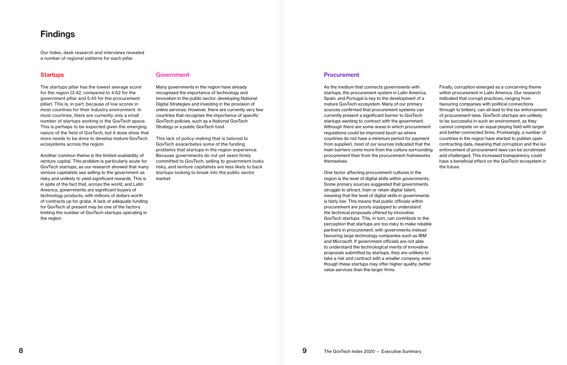## Findings

Our Index, desk research and interviews revealed a number of regional patterns for each pillar.

#### **Startups**

The startups pillar has the lowest average score for the region (3.42, compared to 4.62 for the government pillar and 5.45 for the procurement pillar). This is, in part, because of low scores in most countries for their industry environment. In most countries, there are currently only a small number of startups working in the GovTech space. This is perhaps to be expected given the emerging nature of the field of GovTech, but it does show that more needs to be done to develop mature GovTech ecosystems across the region.

Another common theme is the limited availability of venture capital. This problem is particularly acute for GovTech startups, as our research showed that many venture capitalists see selling to the government as risky and unlikely to yield significant rewards. This is in spite of the fact that, across the world, and Latin America, governments are significant buyers of technology products, with millions of dollars worth of contracts up for grabs. A lack of adequate funding for GovTech at present may be one of the factors limiting the number of GovTech startups operating in the region.

#### Government

Many governments in the region have already recognised the importance of technology and innovation in the public sector, developing National Digital Strategies and investing in the provision of online services. However, there are currently very few countries that recognise the importance of specific GovTech policies, such as a National GovTech Strategy or a public GovTech fund.

This lack of policy-making that is tailored to GovTech exacerbates some of the funding problems that startups in the region experience. Because governments do not yet seem firmly committed to GovTech, selling to government looks risky, and venture capitalists are less likely to back startups looking to break into the public sector market.

#### Procurement

As the medium that connects governments with startups, the procurement system in Latin America, Spain, and Portugal is key to the development of a mature GovTech ecosystem. Many of our primary sources confirmed that procurement systems can currently present a significant barrier to GovTech startups wanting to contract with the government. Although there are some areas in which procurement regulations could be improved (such as where countries do not have a minimum period for payment from supplier), most of our sources indicated that the main barriers come more from the culture surrounding procurement than from the procurement frameworks themselves.

One factor affecting procurement cultures in the region is the level of digital skills within governments. Some primary sources suggested that governments struggle to attract, train or retain digital talent, meaning that the level of digital skills in governments is fairly low. This means that public officials within procurement are poorly equipped to understand the technical proposals offered by innovative GovTech startups. This, in turn, can contribute to the perception that startups are too risky to make reliable partners in procurement, with governments instead favouring large technology companies such as IBM and Microsoft. If government officials are not able to understand the technological merits of innovative proposals submitted by startups, they are unlikely to take a risk and contract with a smaller company, even though these startups may offer higher quality, better value services than the larger firms.

Finally, corruption emerged as a concerning theme within procurement in Latin America. Our research indicated that corrupt practices, ranging from favouring companies with political connections through to bribery, can all lead to the lax enforcement of procurement laws. GovTech startups are unlikely to be successful in such an environment, as they cannot compete on an equal playing field with larger and better-connected firms. Promisingly, a number of countries in the region have started to publish open contracting data, meaning that corruption and the lax enforcement of procurement laws can be scrutinised and challenged. This increased transparency could have a beneficial effect on the GovTech ecosystem in the future.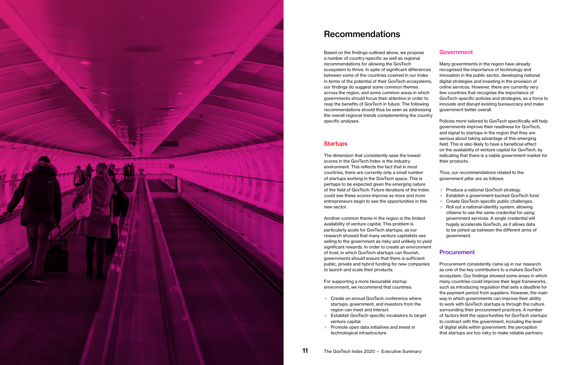

# Recommendations

The dimension that consistently sees the lowest scores in the GovTech Index is the industry environment. This reflects the fact that in most countries, there are currently only a small number of startups working in the GovTech space. This is perhaps to be expected given the emerging nature of the field of GovTech. Future iterations of the Index could see these scores improve as more and more entrepreneurs begin to see the opportunities in this new sector.

Based on the findings outlined above, we propose a number of country-specific as well as regional recommendations for allowing the GovTech ecosystem to thrive. In spite of significant differences between some of the countries covered in our Index in terms of the potential of their GovTech ecosystems, our findings do suggest some common themes across the region, and some common areas in which governments should focus their attention in order to reap the benefits of GovTech in future. The following recommendations should thus be seen as addressing the overall regional trends complementing the country specific analyses. Many governments in the region have already recognised the importance of technology and innovation in the public sector, developing national digital strategies and investing in the provision of online services. However, there are currently very few countries that recognise the importance of GovTech-specific policies and strategies, as a force to innovate and disrupt existing bureaucracy and make government better overall. Policies more tailored to GovTech specifically will help

#### **Startups**

Another common theme in the region is the limited availability of venture capital. This problem is particularly acute for GovTech startups, as our research showed that many venture capitalists see selling to the government as risky and unlikely to yield significant rewards. In order to create an environment of trust, in which GovTech startups can flourish, governments should ensure that there is sufficient to launch and scale their products.

- 
- Produce a national GovTech strategy.<br>● Establish a government-backed GovTech fund.<br>● Create GovTech-specific public challenges.<br>● Roll out a national-identity system, allowing
- 
- citizens to use the same credential for using government services. A single credential will hugely accelerate GovTech, as it allows data to be joined up between the different arms of government.

#### **Procurement**

For supporting a more favourable startup

#### Government

governments improve their readiness for GovTech, and signal to startups in the region that they are serious about taking advantage of this emerging field. This is also likely to have a beneficial effect on the availability of venture capital for GovTech, by indicating that there is a viable government market for their products.

Thus, our recommendations related to the government pillar are as follows:

- startups, government, and investors from the region can meet and interact.
- public, private and hybrid funding for new companies environment, we recommend that countries: ● Create an annual GovTech conference where ● Establish GovTech-specific incubators to target venture capital. ● Promote open data initiatives and invest in technological infrastructure. Procurement consistently came up in our research as one of the key contributors to a mature GovTech ecosystem. Our findings showed some areas in which many countries could improve their legal frameworks, such as introducing regulation that sets a deadline for the payment period from suppliers. However, the main way in which governments can improve their ability to work with GovTech startups is through the culture surrounding their procurement practices. A number of factors limit the opportunities for GovTech startups to contract with the government, including the level of digital skills within government; the perception that startups are too risky to make reliable partners
-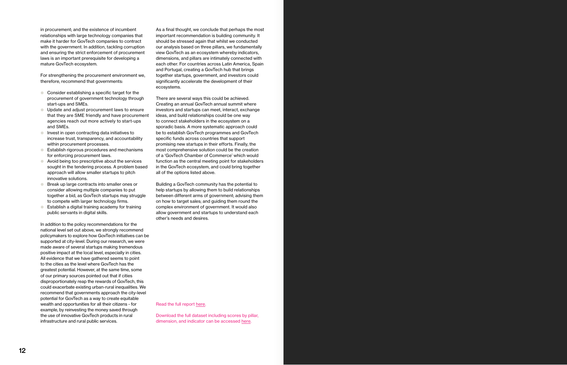in procurement; and the existence of incumbent

relationships with large technology companies that make it harder for GovTech companies to contract with the government. In addition, tackling corruption and ensuring the strict enforcement of procurement laws is an important prerequisite for developing a mature GovTech ecosystem.

For strengthening the procurement environment we, therefore, recommend that governments:

- Consider establishing a specific target for the procurement of government technology through start-ups and SMEs.
- Update and adjust procurement laws to ensure that they are SME friendly and have procurement agencies reach out more actively to start-ups and SMEs.
- Invest in open contracting data initiatives to increase trust, transparency, and accountability within procurement processes.
- Establish rigorous procedures and mechanisms for enforcing procurement laws.
- Avoid being too prescriptive about the services sought in the tendering process. A problem based approach will allow smaller startups to pitch innovative solutions.
- Break up large contracts into smaller ones or consider allowing multiple companies to put together a bid, as GovTech startups may struggle to compete with larger technology firms.
- Establish a digital training academy for training public servants in digital skills.

In addition to the policy recommendations for the national level set out above, we strongly recommend policymakers to explore how GovTech initiatives can be supported at city-level. During our research, we were made aware of several startups making tremendous positive impact at the local level, especially in cities. All evidence that we have gathered seems to point to the cities as the level where GovTech has the greatest potential. However, at the same time, some of our primary sources pointed out that if cities disproportionately reap the rewards of GovTech, this could exacerbate existing urban-rural inequalities. We recommend that governments approach the city-level potential for GovTech as a way to create equitable wealth and opportunities for all their citizens - for example, by reinvesting the money saved through the use of innovative GovTech products in rural infrastructure and rural public services.

As a final thought, we conclude that perhaps the most important recommendation is building community. It should be stressed again that whilst we conducted our analysis based on three pillars, we fundamentally view GovTech as an ecosystem whereby indicators, dimensions, and pillars are intimately connected with each other. For countries across Latin America, Spain and Portugal, creating a GovTech hub that brings together startups, government, and investors could significantly accelerate the development of their ecosystems.

There are several ways this could be achieved. Creating an annual GovTech annual summit where investors and startups can meet, interact, exchange ideas, and build relationships could be one way to connect stakeholders in the ecosystem on a sporadic basis. A more systematic approach could be to establish GovTech programmes and GovTech specific funds across countries that support promising new startups in their efforts. Finally, the most comprehensive solution could be the creation of a 'GovTech Chamber of Commerce' which would function as the central meeting point for stakeholders in the GovTech ecosystem, and could bring together all of the options listed above.

Building a GovTech community has the potential to help startups by allowing them to build relationships between different arms of government; advising them on how to target sales; and guiding them round the complex environment of government. It would also allow government and startups to understand each other's needs and desires.

Read the full report [here.](https://scioteca.caf.com/handle/123456789/1580)

Download the full dataset including scores by pillar, dimension, and indicator can be accessed [here.](https://scioteca.caf.com/handle/123456789/1584)